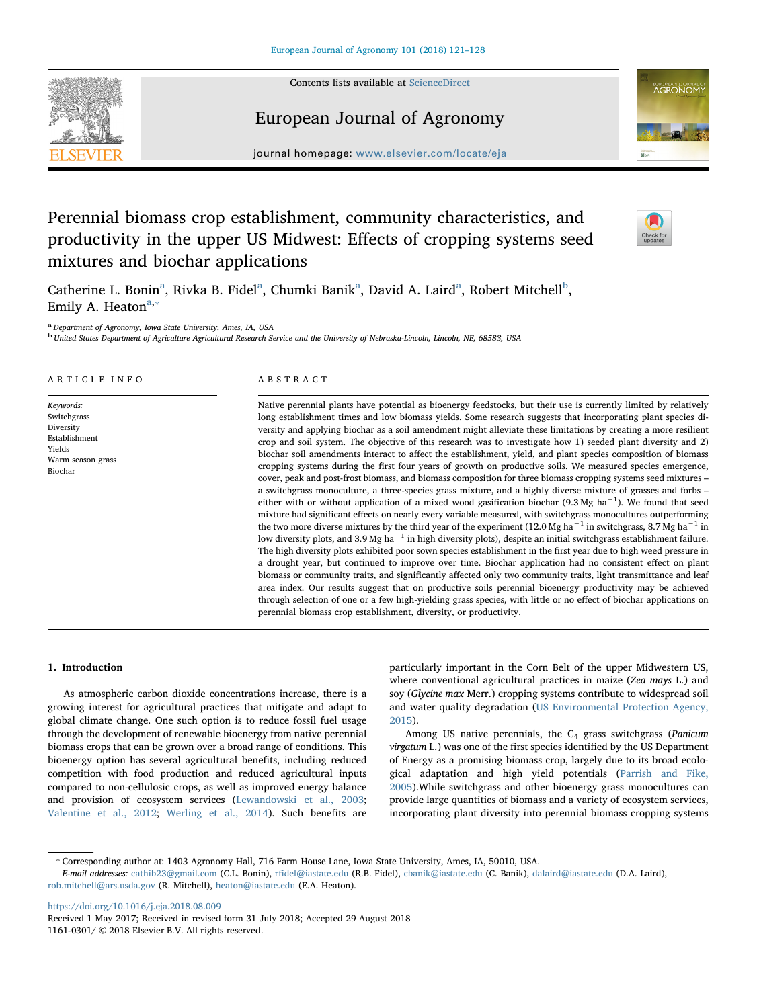Contents lists available at [ScienceDirect](http://www.sciencedirect.com/science/journal/11610301)



## European Journal of Agronomy



journal homepage: [www.elsevier.com/locate/eja](https://www.elsevier.com/locate/eja)

# Perennial biomass crop establishment, community characteristics, and productivity in the upper US Midwest: Effects of cropping systems seed mixtures and biochar applications



C[a](#page-0-0)therine L. Bonin<sup>a</sup>, Rivka B. Fidel<sup>a</sup>, Chumki Banik<sup>a</sup>, David A. Laird<sup>a</sup>, Ro[b](#page-0-1)ert Mitchell<sup>b</sup>, Emily A. Heaton<sup>[a,](#page-0-0) $\ast$ </sup>

<span id="page-0-0"></span><sup>a</sup> Department of Agronomy, Iowa State University, Ames, IA, USA

<span id="page-0-1"></span><sup>b</sup> United States Department of Agriculture Agricultural Research Service and the University of Nebraska-Lincoln, Lincoln, NE, 68583, USA

## ARTICLE INFO

Keywords: Switchgrass Diversity Establishment Yields Warm season grass Biochar

## ABSTRACT

Native perennial plants have potential as bioenergy feedstocks, but their use is currently limited by relatively long establishment times and low biomass yields. Some research suggests that incorporating plant species diversity and applying biochar as a soil amendment might alleviate these limitations by creating a more resilient crop and soil system. The objective of this research was to investigate how 1) seeded plant diversity and 2) biochar soil amendments interact to affect the establishment, yield, and plant species composition of biomass cropping systems during the first four years of growth on productive soils. We measured species emergence, cover, peak and post-frost biomass, and biomass composition for three biomass cropping systems seed mixtures – a switchgrass monoculture, a three-species grass mixture, and a highly diverse mixture of grasses and forbs – either with or without application of a mixed wood gasification biochar (9.3 Mg ha<sup>-1</sup>). We found that seed mixture had significant effects on nearly every variable measured, with switchgrass monocultures outperforming the two more diverse mixtures by the third year of the experiment (12.0 Mg ha<sup>-1</sup> in switchgrass, 8.7 Mg ha<sup>-1</sup> in low diversity plots, and 3.9 Mg ha<sup>−1</sup> in high diversity plots), despite an initial switchgrass establishment failure. The high diversity plots exhibited poor sown species establishment in the first year due to high weed pressure in a drought year, but continued to improve over time. Biochar application had no consistent effect on plant biomass or community traits, and significantly affected only two community traits, light transmittance and leaf area index. Our results suggest that on productive soils perennial bioenergy productivity may be achieved through selection of one or a few high-yielding grass species, with little or no effect of biochar applications on perennial biomass crop establishment, diversity, or productivity.

#### 1. Introduction

As atmospheric carbon dioxide concentrations increase, there is a growing interest for agricultural practices that mitigate and adapt to global climate change. One such option is to reduce fossil fuel usage through the development of renewable bioenergy from native perennial biomass crops that can be grown over a broad range of conditions. This bioenergy option has several agricultural benefits, including reduced competition with food production and reduced agricultural inputs compared to non-cellulosic crops, as well as improved energy balance and provision of ecosystem services ([Lewandowski et al., 2003](#page-6-0); [Valentine et al., 2012](#page-7-0); [Werling et al., 2014](#page-7-1)). Such benefits are particularly important in the Corn Belt of the upper Midwestern US, where conventional agricultural practices in maize (Zea mays L.) and soy (Glycine max Merr.) cropping systems contribute to widespread soil and water quality degradation ([US Environmental Protection Agency,](#page-7-2) [2015\)](#page-7-2).

Among US native perennials, the  $C_4$  grass switchgrass (Panicum virgatum L.) was one of the first species identified by the US Department of Energy as a promising biomass crop, largely due to its broad ecological adaptation and high yield potentials [\(Parrish and Fike,](#page-6-1) [2005\)](#page-6-1).While switchgrass and other bioenergy grass monocultures can provide large quantities of biomass and a variety of ecosystem services, incorporating plant diversity into perennial biomass cropping systems

<https://doi.org/10.1016/j.eja.2018.08.009>

<span id="page-0-2"></span><sup>⁎</sup> Corresponding author at: 1403 Agronomy Hall, 716 Farm House Lane, Iowa State University, Ames, IA, 50010, USA.

E-mail addresses: [cathib23@gmail.com](mailto:cathib23@gmail.com) (C.L. Bonin), rfi[del@iastate.edu](mailto:rfidel@iastate.edu) (R.B. Fidel), [cbanik@iastate.edu](mailto:cbanik@iastate.edu) (C. Banik), [dalaird@iastate.edu](mailto:dalaird@iastate.edu) (D.A. Laird), [rob.mitchell@ars.usda.gov](mailto:rob.mitchell@ars.usda.gov) (R. Mitchell), [heaton@iastate.edu](mailto:heaton@iastate.edu) (E.A. Heaton).

Received 1 May 2017; Received in revised form 31 July 2018; Accepted 29 August 2018

<sup>1161-0301/ © 2018</sup> Elsevier B.V. All rights reserved.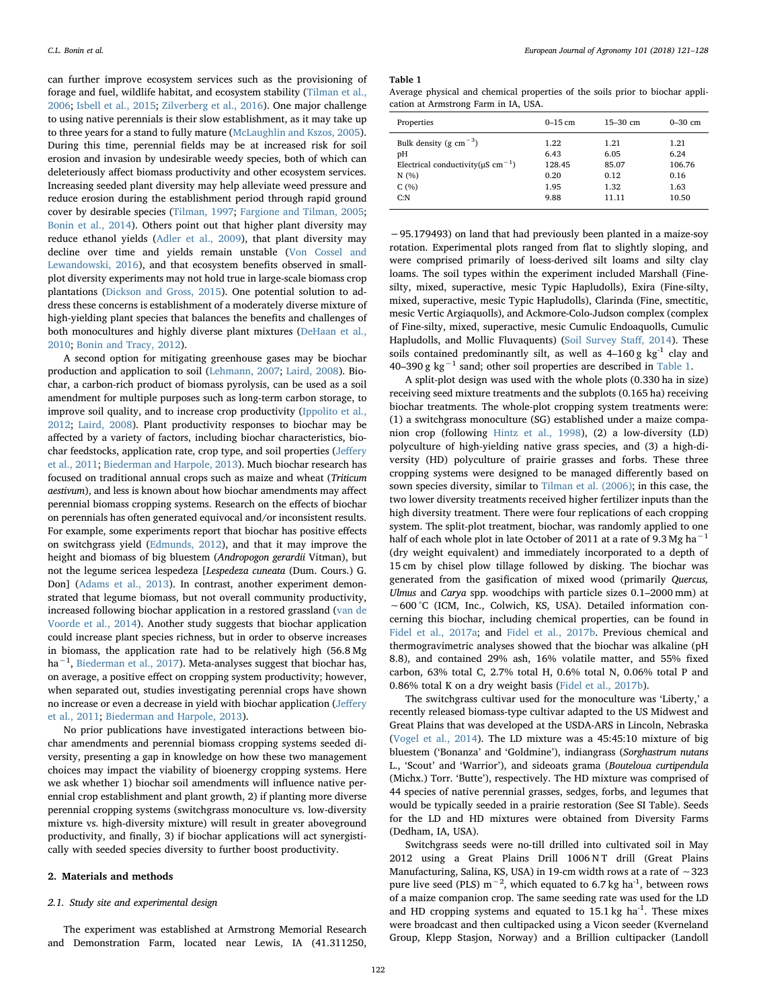can further improve ecosystem services such as the provisioning of forage and fuel, wildlife habitat, and ecosystem stability ([Tilman et al.,](#page-7-3) [2006;](#page-7-3) [Isbell et al., 2015;](#page-6-2) [Zilverberg et al., 2016](#page-7-4)). One major challenge to using native perennials is their slow establishment, as it may take up to three years for a stand to fully mature [\(McLaughlin and Kszos, 2005](#page-6-3)). During this time, perennial fields may be at increased risk for soil erosion and invasion by undesirable weedy species, both of which can deleteriously affect biomass productivity and other ecosystem services. Increasing seeded plant diversity may help alleviate weed pressure and reduce erosion during the establishment period through rapid ground cover by desirable species [\(Tilman, 1997](#page-7-5); [Fargione and Tilman, 2005](#page-6-4); [Bonin et al., 2014](#page-6-5)). Others point out that higher plant diversity may reduce ethanol yields [\(Adler et al., 2009\)](#page-6-6), that plant diversity may decline over time and yields remain unstable [\(Von Cossel and](#page-7-6) [Lewandowski, 2016](#page-7-6)), and that ecosystem benefits observed in smallplot diversity experiments may not hold true in large-scale biomass crop plantations [\(Dickson and Gross, 2015](#page-6-7)). One potential solution to address these concerns is establishment of a moderately diverse mixture of high-yielding plant species that balances the benefits and challenges of both monocultures and highly diverse plant mixtures ([DeHaan et al.,](#page-6-8) [2010;](#page-6-8) [Bonin and Tracy, 2012](#page-6-9)).

A second option for mitigating greenhouse gases may be biochar production and application to soil ([Lehmann, 2007](#page-6-10); [Laird, 2008\)](#page-6-11). Biochar, a carbon-rich product of biomass pyrolysis, can be used as a soil amendment for multiple purposes such as long-term carbon storage, to improve soil quality, and to increase crop productivity [\(Ippolito et al.,](#page-6-12) [2012;](#page-6-12) [Laird, 2008\)](#page-6-11). Plant productivity responses to biochar may be affected by a variety of factors, including biochar characteristics, biochar feedstocks, application rate, crop type, and soil properties (Jeff[ery](#page-6-13) [et al., 2011](#page-6-13); [Biederman and Harpole, 2013](#page-6-14)). Much biochar research has focused on traditional annual crops such as maize and wheat (Triticum aestivum), and less is known about how biochar amendments may affect perennial biomass cropping systems. Research on the effects of biochar on perennials has often generated equivocal and/or inconsistent results. For example, some experiments report that biochar has positive effects on switchgrass yield [\(Edmunds, 2012](#page-6-15)), and that it may improve the height and biomass of big bluestem (Andropogon gerardii Vitman), but not the legume sericea lespedeza [Lespedeza cuneata (Dum. Cours.) G. Don] [\(Adams et al., 2013](#page-6-16)). In contrast, another experiment demonstrated that legume biomass, but not overall community productivity, increased following biochar application in a restored grassland [\(van de](#page-7-7) [Voorde et al., 2014\)](#page-7-7). Another study suggests that biochar application could increase plant species richness, but in order to observe increases in biomass, the application rate had to be relatively high (56.8 Mg ha<sup>-1</sup>, [Biederman et al., 2017\)](#page-6-17). Meta-analyses suggest that biochar has, on average, a positive effect on cropping system productivity; however, when separated out, studies investigating perennial crops have shown no increase or even a decrease in yield with biochar application (Jeff[ery](#page-6-13) [et al., 2011](#page-6-13); [Biederman and Harpole, 2013\)](#page-6-14).

No prior publications have investigated interactions between biochar amendments and perennial biomass cropping systems seeded diversity, presenting a gap in knowledge on how these two management choices may impact the viability of bioenergy cropping systems. Here we ask whether 1) biochar soil amendments will influence native perennial crop establishment and plant growth, 2) if planting more diverse perennial cropping systems (switchgrass monoculture vs. low-diversity mixture vs. high-diversity mixture) will result in greater aboveground productivity, and finally, 3) if biochar applications will act synergistically with seeded species diversity to further boost productivity.

#### 2. Materials and methods

#### 2.1. Study site and experimental design

The experiment was established at Armstrong Memorial Research and Demonstration Farm, located near Lewis, IA (41.311250,

<span id="page-1-0"></span>Table 1

Average physical and chemical properties of the soils prior to biochar application at Armstrong Farm in IA, USA.

| Properties                                          | $0-15$ cm | $15 - 30$ cm | $0-30$ cm |
|-----------------------------------------------------|-----------|--------------|-----------|
| Bulk density (g $cm^{-3}$ )                         | 1.22      | 1.21         | 1.21      |
| pH                                                  | 6.43      | 6.05         | 6.24      |
| Electrical conductivity( $\mu$ S cm <sup>-1</sup> ) | 128.45    | 85.07        | 106.76    |
| N(%)                                                | 0.20      | 0.12         | 0.16      |
| C(%)                                                | 1.95      | 1.32         | 1.63      |
| C: N                                                | 9.88      | 11.11        | 10.50     |

−95.179493) on land that had previously been planted in a maize-soy rotation. Experimental plots ranged from flat to slightly sloping, and were comprised primarily of loess-derived silt loams and silty clay loams. The soil types within the experiment included Marshall (Finesilty, mixed, superactive, mesic Typic Hapludolls), Exira (Fine-silty, mixed, superactive, mesic Typic Hapludolls), Clarinda (Fine, smectitic, mesic Vertic Argiaquolls), and Ackmore-Colo-Judson complex (complex of Fine-silty, mixed, superactive, mesic Cumulic Endoaquolls, Cumulic Hapludolls, and Mollic Fluvaquents) ([Soil Survey Sta](#page-7-8)ff, 2014). These soils contained predominantly silt, as well as  $4-160$  g kg<sup>-1</sup> clay and 40–390 g kg<sup> $-1$ </sup> sand; other soil properties are described in [Table 1.](#page-1-0)

A split-plot design was used with the whole plots (0.330 ha in size) receiving seed mixture treatments and the subplots (0.165 ha) receiving biochar treatments. The whole-plot cropping system treatments were: (1) a switchgrass monoculture (SG) established under a maize companion crop (following [Hintz et al., 1998](#page-6-18)), (2) a low-diversity (LD) polyculture of high-yielding native grass species, and (3) a high-diversity (HD) polyculture of prairie grasses and forbs. These three cropping systems were designed to be managed differently based on sown species diversity, similar to [Tilman et al. \(2006\);](#page-7-3) in this case, the two lower diversity treatments received higher fertilizer inputs than the high diversity treatment. There were four replications of each cropping system. The split-plot treatment, biochar, was randomly applied to one half of each whole plot in late October of 2011 at a rate of 9.3 Mg ha<sup> $-1$ </sup> (dry weight equivalent) and immediately incorporated to a depth of 15 cm by chisel plow tillage followed by disking. The biochar was generated from the gasification of mixed wood (primarily Quercus, Ulmus and Carya spp. woodchips with particle sizes 0.1–2000 mm) at ∼600 °C (ICM, Inc., Colwich, KS, USA). Detailed information concerning this biochar, including chemical properties, can be found in [Fidel et al., 2017a;](#page-6-19) and [Fidel et al., 2017b](#page-6-20). Previous chemical and thermogravimetric analyses showed that the biochar was alkaline (pH 8.8), and contained 29% ash, 16% volatile matter, and 55% fixed carbon, 63% total C, 2.7% total H, 0.6% total N, 0.06% total P and 0.86% total K on a dry weight basis ([Fidel et al., 2017b\)](#page-6-20).

The switchgrass cultivar used for the monoculture was 'Liberty,' a recently released biomass-type cultivar adapted to the US Midwest and Great Plains that was developed at the USDA-ARS in Lincoln, Nebraska ([Vogel et al., 2014\)](#page-7-9). The LD mixture was a 45:45:10 mixture of big bluestem ('Bonanza' and 'Goldmine'), indiangrass (Sorghastrum nutans L., 'Scout' and 'Warrior'), and sideoats grama (Bouteloua curtipendula (Michx.) Torr. 'Butte'), respectively. The HD mixture was comprised of 44 species of native perennial grasses, sedges, forbs, and legumes that would be typically seeded in a prairie restoration (See SI Table). Seeds for the LD and HD mixtures were obtained from Diversity Farms (Dedham, IA, USA).

Switchgrass seeds were no-till drilled into cultivated soil in May 2012 using a Great Plains Drill 1006 NT drill (Great Plains Manufacturing, Salina, KS, USA) in 19-cm width rows at a rate of ∼323 pure live seed (PLS)  $m^{-2}$ , which equated to 6.7 kg ha<sup>-1</sup>, between rows of a maize companion crop. The same seeding rate was used for the LD and HD cropping systems and equated to  $15.1 \text{ kg}$  ha<sup>-1</sup>. These mixes were broadcast and then cultipacked using a Vicon seeder (Kverneland Group, Klepp Stasjon, Norway) and a Brillion cultipacker (Landoll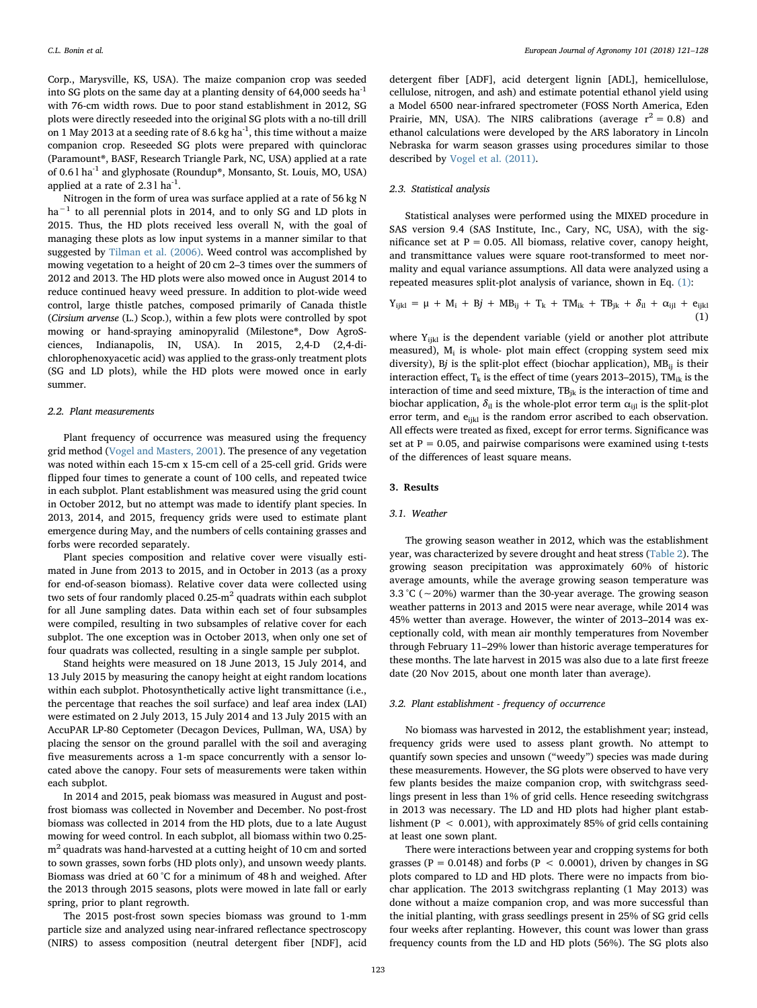Corp., Marysville, KS, USA). The maize companion crop was seeded into SG plots on the same day at a planting density of  $64,000$  seeds ha<sup>-1</sup> with 76-cm width rows. Due to poor stand establishment in 2012, SG plots were directly reseeded into the original SG plots with a no-till drill on 1 May 2013 at a seeding rate of 8.6 kg ha $^{-1}$ , this time without a maize companion crop. Reseeded SG plots were prepared with quinclorac (Paramount®, BASF, Research Triangle Park, NC, USA) applied at a rate of 0.6 l ha-1 and glyphosate (Roundup®, Monsanto, St. Louis, MO, USA) applied at a rate of  $2.31$  ha<sup>-1</sup>.

Nitrogen in the form of urea was surface applied at a rate of 56 kg N  $ha^{-1}$  to all perennial plots in 2014, and to only SG and LD plots in 2015. Thus, the HD plots received less overall N, with the goal of managing these plots as low input systems in a manner similar to that suggested by [Tilman et al. \(2006\)](#page-7-3). Weed control was accomplished by mowing vegetation to a height of 20 cm 2–3 times over the summers of 2012 and 2013. The HD plots were also mowed once in August 2014 to reduce continued heavy weed pressure. In addition to plot-wide weed control, large thistle patches, composed primarily of Canada thistle (Cirsium arvense (L.) Scop.), within a few plots were controlled by spot mowing or hand-spraying aminopyralid (Milestone®, Dow AgroSciences, Indianapolis, IN, USA). In 2015, 2,4-D (2,4-dichlorophenoxyacetic acid) was applied to the grass-only treatment plots (SG and LD plots), while the HD plots were mowed once in early summer.

#### 2.2. Plant measurements

Plant frequency of occurrence was measured using the frequency grid method ([Vogel and Masters, 2001](#page-7-10)). The presence of any vegetation was noted within each 15-cm x 15-cm cell of a 25-cell grid. Grids were flipped four times to generate a count of 100 cells, and repeated twice in each subplot. Plant establishment was measured using the grid count in October 2012, but no attempt was made to identify plant species. In 2013, 2014, and 2015, frequency grids were used to estimate plant emergence during May, and the numbers of cells containing grasses and forbs were recorded separately.

Plant species composition and relative cover were visually estimated in June from 2013 to 2015, and in October in 2013 (as a proxy for end-of-season biomass). Relative cover data were collected using two sets of four randomly placed  $0.25 \text{ m}^2$  quadrats within each subplot for all June sampling dates. Data within each set of four subsamples were compiled, resulting in two subsamples of relative cover for each subplot. The one exception was in October 2013, when only one set of four quadrats was collected, resulting in a single sample per subplot.

Stand heights were measured on 18 June 2013, 15 July 2014, and 13 July 2015 by measuring the canopy height at eight random locations within each subplot. Photosynthetically active light transmittance (i.e., the percentage that reaches the soil surface) and leaf area index (LAI) were estimated on 2 July 2013, 15 July 2014 and 13 July 2015 with an AccuPAR LP-80 Ceptometer (Decagon Devices, Pullman, WA, USA) by placing the sensor on the ground parallel with the soil and averaging five measurements across a 1-m space concurrently with a sensor located above the canopy. Four sets of measurements were taken within each subplot.

In 2014 and 2015, peak biomass was measured in August and postfrost biomass was collected in November and December. No post-frost biomass was collected in 2014 from the HD plots, due to a late August mowing for weed control. In each subplot, all biomass within two 0.25 m<sup>2</sup> quadrats was hand-harvested at a cutting height of 10 cm and sorted to sown grasses, sown forbs (HD plots only), and unsown weedy plants. Biomass was dried at 60 °C for a minimum of 48 h and weighed. After the 2013 through 2015 seasons, plots were mowed in late fall or early spring, prior to plant regrowth.

The 2015 post-frost sown species biomass was ground to 1-mm particle size and analyzed using near-infrared reflectance spectroscopy (NIRS) to assess composition (neutral detergent fiber [NDF], acid

detergent fiber [ADF], acid detergent lignin [ADL], hemicellulose, cellulose, nitrogen, and ash) and estimate potential ethanol yield using a Model 6500 near-infrared spectrometer (FOSS North America, Eden Prairie, MN, USA). The NIRS calibrations (average  $r^2 = 0.8$ ) and ethanol calculations were developed by the ARS laboratory in Lincoln Nebraska for warm season grasses using procedures similar to those described by [Vogel et al. \(2011\).](#page-7-11)

## 2.3. Statistical analysis

Statistical analyses were performed using the MIXED procedure in SAS version 9.4 (SAS Institute, Inc., Cary, NC, USA), with the significance set at  $P = 0.05$ . All biomass, relative cover, canopy height, and transmittance values were square root-transformed to meet normality and equal variance assumptions. All data were analyzed using a repeated measures split-plot analysis of variance, shown in Eq. [\(1\):](#page-2-0)

<span id="page-2-0"></span>
$$
Y_{ijkl} = \mu + M_i + Bj + MB_{ij} + T_k + TM_{ik} + TB_{jk} + \delta_{il} + \alpha_{ijl} + e_{ijkl}
$$
(1)

where  $Y_{ijkl}$  is the dependent variable (yield or another plot attribute measured),  $M_i$  is whole- plot main effect (cropping system seed mix diversity), Bj is the split-plot effect (biochar application),  $MB_{ij}$  is their interaction effect,  $T_k$  is the effect of time (years 2013–2015), TM<sub>ik</sub> is the interaction of time and seed mixture,  $TB_{jk}$  is the interaction of time and biochar application,  $\delta_{il}$  is the whole-plot error term  $\alpha_{ijl}$  is the split-plot error term, and e<sub>ijkl</sub> is the random error ascribed to each observation. All effects were treated as fixed, except for error terms. Significance was set at  $P = 0.05$ , and pairwise comparisons were examined using t-tests of the differences of least square means.

## 3. Results

## 3.1. Weather

The growing season weather in 2012, which was the establishment year, was characterized by severe drought and heat stress [\(Table 2](#page-3-0)). The growing season precipitation was approximately 60% of historic average amounts, while the average growing season temperature was 3.3 °C (∼20%) warmer than the 30-year average. The growing season weather patterns in 2013 and 2015 were near average, while 2014 was 45% wetter than average. However, the winter of 2013–2014 was exceptionally cold, with mean air monthly temperatures from November through February 11–29% lower than historic average temperatures for these months. The late harvest in 2015 was also due to a late first freeze date (20 Nov 2015, about one month later than average).

#### 3.2. Plant establishment - frequency of occurrence

No biomass was harvested in 2012, the establishment year; instead, frequency grids were used to assess plant growth. No attempt to quantify sown species and unsown ("weedy") species was made during these measurements. However, the SG plots were observed to have very few plants besides the maize companion crop, with switchgrass seedlings present in less than 1% of grid cells. Hence reseeding switchgrass in 2013 was necessary. The LD and HD plots had higher plant establishment ( $P < 0.001$ ), with approximately 85% of grid cells containing at least one sown plant.

There were interactions between year and cropping systems for both grasses ( $P = 0.0148$ ) and forbs ( $P < 0.0001$ ), driven by changes in SG plots compared to LD and HD plots. There were no impacts from biochar application. The 2013 switchgrass replanting (1 May 2013) was done without a maize companion crop, and was more successful than the initial planting, with grass seedlings present in 25% of SG grid cells four weeks after replanting. However, this count was lower than grass frequency counts from the LD and HD plots (56%). The SG plots also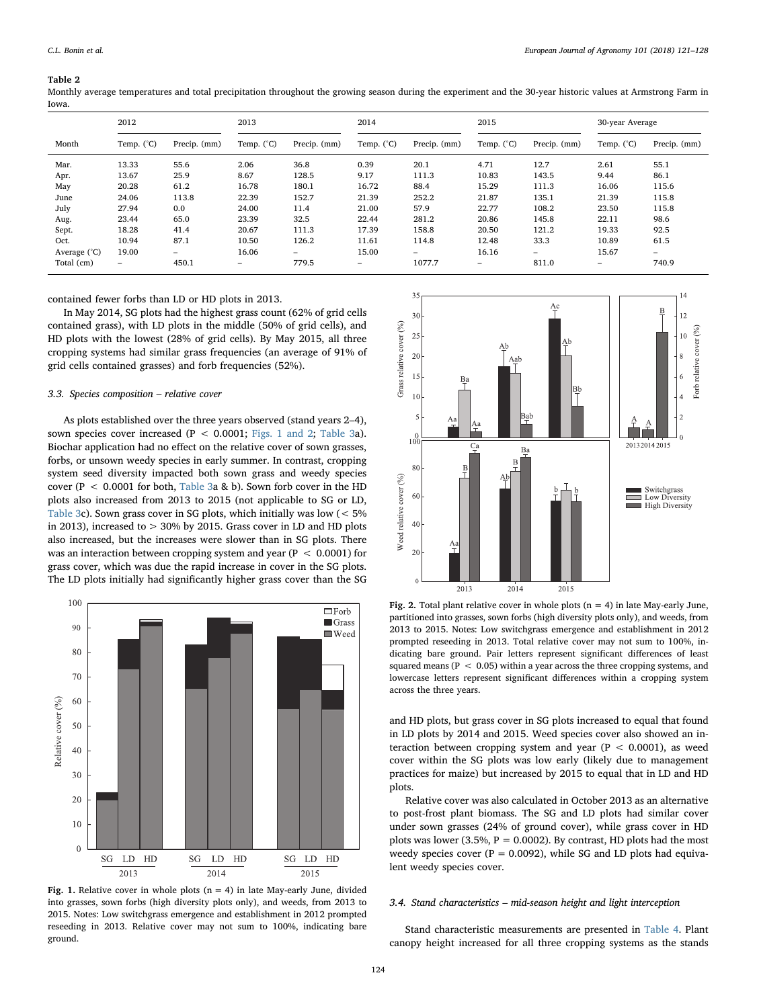#### <span id="page-3-0"></span>Table 2

Monthly average temperatures and total precipitation throughout the growing season during the experiment and the 30-year historic values at Armstrong Farm in Iowa.

|              | 2012                |                          | 2013                |              | 2014                |              | 2015                |              | 30-year Average |              |
|--------------|---------------------|--------------------------|---------------------|--------------|---------------------|--------------|---------------------|--------------|-----------------|--------------|
| Month        | Temp. $(^{\circ}C)$ | Precip. (mm)             | Temp. $(^{\circ}C)$ | Precip. (mm) | Temp. $(^{\circ}C)$ | Precip. (mm) | Temp. $(^{\circ}C)$ | Precip. (mm) | Temp. (°C)      | Precip. (mm) |
| Mar.         | 13.33               | 55.6                     | 2.06                | 36.8         | 0.39                | 20.1         | 4.71                | 12.7         | 2.61            | 55.1         |
| Apr.         | 13.67               | 25.9                     | 8.67                | 128.5        | 9.17                | 111.3        | 10.83               | 143.5        | 9.44            | 86.1         |
| May          | 20.28               | 61.2                     | 16.78               | 180.1        | 16.72               | 88.4         | 15.29               | 111.3        | 16.06           | 115.6        |
| June         | 24.06               | 113.8                    | 22.39               | 152.7        | 21.39               | 252.2        | 21.87               | 135.1        | 21.39           | 115.8        |
| July         | 27.94               | 0.0                      | 24.00               | 11.4         | 21.00               | 57.9         | 22.77               | 108.2        | 23.50           | 115.8        |
| Aug.         | 23.44               | 65.0                     | 23.39               | 32.5         | 22.44               | 281.2        | 20.86               | 145.8        | 22.11           | 98.6         |
| Sept.        | 18.28               | 41.4                     | 20.67               | 111.3        | 17.39               | 158.8        | 20.50               | 121.2        | 19.33           | 92.5         |
| Oct.         | 10.94               | 87.1                     | 10.50               | 126.2        | 11.61               | 114.8        | 12.48               | 33.3         | 10.89           | 61.5         |
| Average (°C) | 19.00               | $\overline{\phantom{0}}$ | 16.06               | -            | 15.00               | $-$          | 16.16               | -            | 15.67           | -            |
| Total (cm)   | -                   | 450.1                    | -                   | 779.5        | -                   | 1077.7       | -                   | 811.0        | -               | 740.9        |

contained fewer forbs than LD or HD plots in 2013.

In May 2014, SG plots had the highest grass count (62% of grid cells contained grass), with LD plots in the middle (50% of grid cells), and HD plots with the lowest (28% of grid cells). By May 2015, all three cropping systems had similar grass frequencies (an average of 91% of grid cells contained grasses) and forb frequencies (52%).

## 3.3. Species composition – relative cover

As plots established over the three years observed (stand years 2–4), sown species cover increased ( $P < 0.0001$ ; [Figs. 1 and 2;](#page-3-1) [Table 3](#page-4-0)a). Biochar application had no effect on the relative cover of sown grasses, forbs, or unsown weedy species in early summer. In contrast, cropping system seed diversity impacted both sown grass and weedy species cover (P < 0.0001 for both, [Table 3a](#page-4-0) & b). Sown forb cover in the HD plots also increased from 2013 to 2015 (not applicable to SG or LD, [Table 3c](#page-4-0)). Sown grass cover in SG plots, which initially was low (< 5% in 2013), increased to > 30% by 2015. Grass cover in LD and HD plots also increased, but the increases were slower than in SG plots. There was an interaction between cropping system and year (P < 0.0001) for grass cover, which was due the rapid increase in cover in the SG plots. The LD plots initially had significantly higher grass cover than the SG

<span id="page-3-1"></span>

Fig. 1. Relative cover in whole plots  $(n = 4)$  in late May-early June, divided into grasses, sown forbs (high diversity plots only), and weeds, from 2013 to 2015. Notes: Low switchgrass emergence and establishment in 2012 prompted reseeding in 2013. Relative cover may not sum to 100%, indicating bare ground.



Fig. 2. Total plant relative cover in whole plots ( $n = 4$ ) in late May-early June, partitioned into grasses, sown forbs (high diversity plots only), and weeds, from 2013 to 2015. Notes: Low switchgrass emergence and establishment in 2012 prompted reseeding in 2013. Total relative cover may not sum to 100%, indicating bare ground. Pair letters represent significant differences of least squared means ( $P < 0.05$ ) within a year across the three cropping systems, and lowercase letters represent significant differences within a cropping system across the three years.

and HD plots, but grass cover in SG plots increased to equal that found in LD plots by 2014 and 2015. Weed species cover also showed an interaction between cropping system and year ( $P < 0.0001$ ), as weed cover within the SG plots was low early (likely due to management practices for maize) but increased by 2015 to equal that in LD and HD plots.

Relative cover was also calculated in October 2013 as an alternative to post-frost plant biomass. The SG and LD plots had similar cover under sown grasses (24% of ground cover), while grass cover in HD plots was lower (3.5%,  $P = 0.0002$ ). By contrast, HD plots had the most weedy species cover ( $P = 0.0092$ ), while SG and LD plots had equivalent weedy species cover.

## 3.4. Stand characteristics – mid-season height and light interception

Stand characteristic measurements are presented in [Table 4](#page-4-1). Plant canopy height increased for all three cropping systems as the stands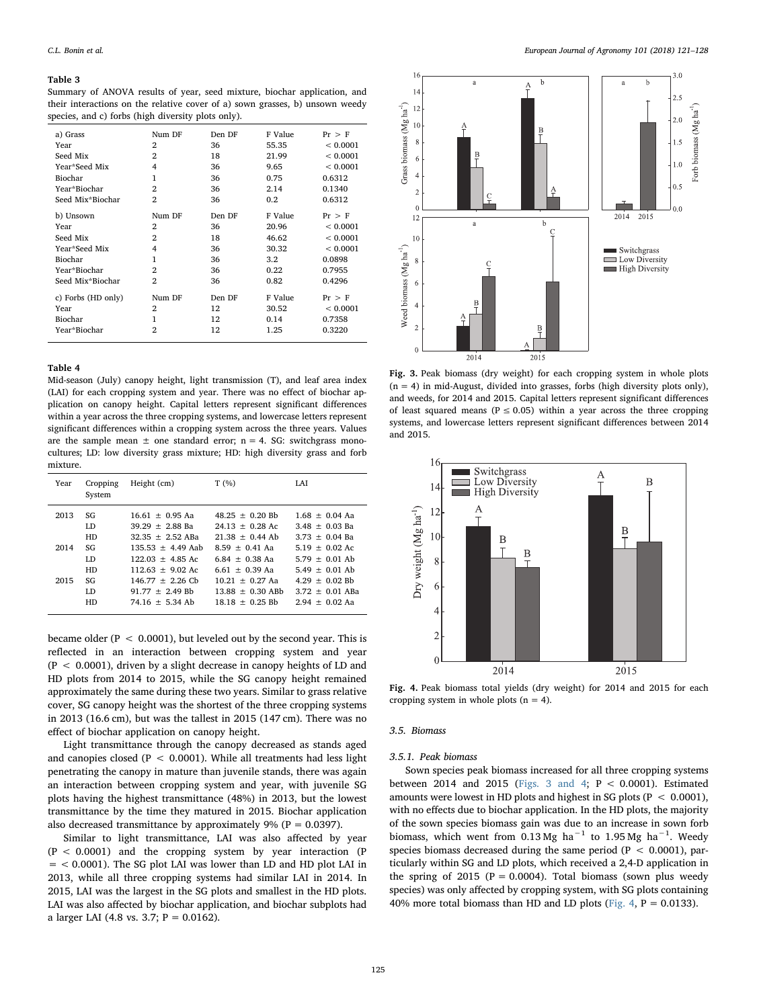#### <span id="page-4-0"></span>Table 3

Summary of ANOVA results of year, seed mixture, biochar application, and their interactions on the relative cover of a) sown grasses, b) unsown weedy species, and c) forbs (high diversity plots only).

| a) Grass           | Num DF         | Den DF | F Value | $Pr$ > F |
|--------------------|----------------|--------|---------|----------|
| Year               | $\overline{2}$ | 36     | 55.35   | < 0.0001 |
| Seed Mix           | $\overline{2}$ | 18     | 21.99   | < 0.0001 |
| Year*Seed Mix      | 4              | 36     | 9.65    | < 0.0001 |
| Biochar            | 1              | 36     | 0.75    | 0.6312   |
| Year*Biochar       | $\overline{2}$ | 36     | 2.14    | 0.1340   |
| Seed Mix*Biochar   | $\overline{2}$ | 36     | 0.2     | 0.6312   |
| b) Unsown          | Num DF         | Den DF | F Value | $Pr$ > F |
| Year               | 2              | 36     | 20.96   | < 0.0001 |
| Seed Mix           | 2              | 18     | 46.62   | < 0.0001 |
| Year*Seed Mix      | 4              | 36     | 30.32   | < 0.0001 |
| Biochar            | 1              | 36     | 3.2     | 0.0898   |
| Year*Biochar       | $\overline{2}$ | 36     | 0.22    | 0.7955   |
| Seed Mix*Biochar   | $\overline{2}$ | 36     | 0.82    | 0.4296   |
| c) Forbs (HD only) | Num DF         | Den DF | F Value | $Pr$ > F |
| Year               | $\overline{2}$ | 12     | 30.52   | < 0.0001 |
| Biochar            | 1              | 12     | 0.14    | 0.7358   |
| Year*Biochar       | $\overline{2}$ | 12     | 1.25    | 0.3220   |
|                    |                |        |         |          |

#### <span id="page-4-1"></span>Table 4

Mid-season (July) canopy height, light transmission (T), and leaf area index (LAI) for each cropping system and year. There was no effect of biochar application on canopy height. Capital letters represent significant differences within a year across the three cropping systems, and lowercase letters represent significant differences within a cropping system across the three years. Values are the sample mean  $\pm$  one standard error; n = 4. SG: switchgrass monocultures; LD: low diversity grass mixture; HD: high diversity grass and forb mixture.

| Year | Cropping<br>System | Height (cm)         | T(%)               | <b>LAI</b>        |
|------|--------------------|---------------------|--------------------|-------------------|
| 2013 | SG                 | $1661 + 095$ Aa     | $48.25 + 0.20$ Rh  | $1.68 + 0.04$ Aa  |
|      | LD.                | $39.29 + 2.88$ Ba   | $24.13 + 0.28$ Ac  | $3.48 + 0.03$ Ba  |
|      | HD                 | $32.35 + 2.52$ ABa  | $21.38 + 0.44$ Ab  | $3.73 + 0.04$ Ba  |
| 2014 | SG                 | $135.53 + 4.49$ Aab | $8.59 + 0.41$ Aa   | $5.19 + 0.02$ Ac  |
|      | LD.                | $122.03 + 4.85$ Ac  | $6.84 + 0.38$ Aa   | $5.79 + 0.01$ Ab  |
|      | HD                 | $112.63 + 9.02$ Ac  | $6.61 + 0.39$ Aa   | $5.49 + 0.01$ Ab  |
| 2015 | SG                 | $146.77 + 2.26$ Cb  | $10.21 + 0.27$ Aa  | $4.29 + 0.02$ Bb  |
|      | LD.                | $91.77 + 2.49$ Bh   | $13.88 + 0.30$ ABb | $3.72 + 0.01$ ABa |
|      | HD                 | $74.16 + 5.34$ Ab   | $18.18 + 0.25$ Bb  | $2.94 + 0.02$ Aa  |

became older ( $P < 0.0001$ ), but leveled out by the second year. This is reflected in an interaction between cropping system and year (P < 0.0001), driven by a slight decrease in canopy heights of LD and HD plots from 2014 to 2015, while the SG canopy height remained approximately the same during these two years. Similar to grass relative cover, SG canopy height was the shortest of the three cropping systems in 2013 (16.6 cm), but was the tallest in 2015 (147 cm). There was no effect of biochar application on canopy height.

Light transmittance through the canopy decreased as stands aged and canopies closed ( $P < 0.0001$ ). While all treatments had less light penetrating the canopy in mature than juvenile stands, there was again an interaction between cropping system and year, with juvenile SG plots having the highest transmittance (48%) in 2013, but the lowest transmittance by the time they matured in 2015. Biochar application also decreased transmittance by approximately  $9\%$  (P = 0.0397).

Similar to light transmittance, LAI was also affected by year (P < 0.0001) and the cropping system by year interaction (P = < 0.0001). The SG plot LAI was lower than LD and HD plot LAI in 2013, while all three cropping systems had similar LAI in 2014. In 2015, LAI was the largest in the SG plots and smallest in the HD plots. LAI was also affected by biochar application, and biochar subplots had a larger LAI (4.8 vs. 3.7;  $P = 0.0162$ ).

<span id="page-4-2"></span>

Fig. 3. Peak biomass (dry weight) for each cropping system in whole plots  $(n = 4)$  in mid-August, divided into grasses, forbs (high diversity plots only), and weeds, for 2014 and 2015. Capital letters represent significant differences of least squared means ( $P \le 0.05$ ) within a year across the three cropping systems, and lowercase letters represent significant differences between 2014 and 2015.

<span id="page-4-3"></span>

Fig. 4. Peak biomass total yields (dry weight) for 2014 and 2015 for each cropping system in whole plots  $(n = 4)$ .

## 3.5. Biomass

### 3.5.1. Peak biomass

Sown species peak biomass increased for all three cropping systems between 2014 and 2015 [\(Figs. 3 and 4;](#page-4-2) P < 0.0001). Estimated amounts were lowest in HD plots and highest in SG plots ( $P < 0.0001$ ), with no effects due to biochar application. In the HD plots, the majority of the sown species biomass gain was due to an increase in sown forb biomass, which went from 0.13 Mg ha<sup>-1</sup> to 1.95 Mg ha<sup>-1</sup>. Weedy species biomass decreased during the same period (P  $<$  0.0001), particularly within SG and LD plots, which received a 2,4-D application in the spring of 2015 ( $P = 0.0004$ ). Total biomass (sown plus weedy species) was only affected by cropping system, with SG plots containing 40% more total biomass than HD and LD plots [\(Fig. 4](#page-4-3),  $P = 0.0133$ ).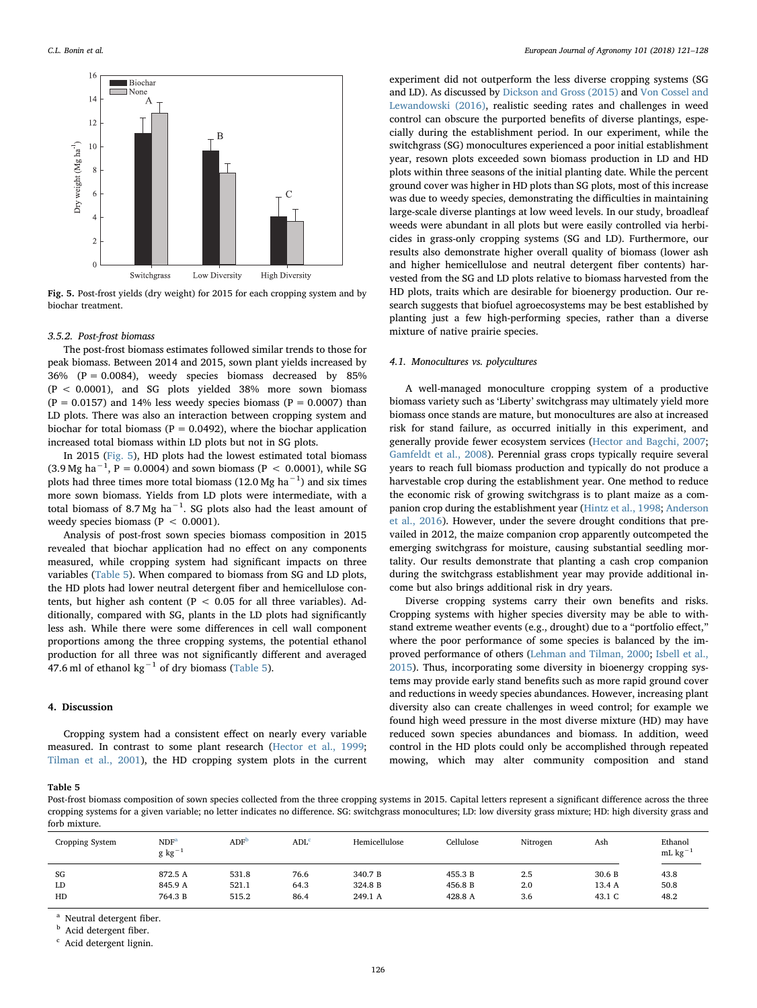<span id="page-5-0"></span>

Fig. 5. Post-frost yields (dry weight) for 2015 for each cropping system and by biochar treatment.

## 3.5.2. Post-frost biomass

The post-frost biomass estimates followed similar trends to those for peak biomass. Between 2014 and 2015, sown plant yields increased by  $36\%$  (P = 0.0084), weedy species biomass decreased by  $85\%$ (P < 0.0001), and SG plots yielded 38% more sown biomass  $(P = 0.0157)$  and 14% less weedy species biomass  $(P = 0.0007)$  than LD plots. There was also an interaction between cropping system and biochar for total biomass ( $P = 0.0492$ ), where the biochar application increased total biomass within LD plots but not in SG plots.

In 2015 [\(Fig. 5\)](#page-5-0), HD plots had the lowest estimated total biomass  $(3.9 \text{ Mg ha}^{-1}, P = 0.0004)$  and sown biomass (P < 0.0001), while SG plots had three times more total biomass (12.0 Mg ha $^{-1}$ ) and six times more sown biomass. Yields from LD plots were intermediate, with a total biomass of 8.7 Mg ha $^{-1}$ . SG plots also had the least amount of weedy species biomass ( $P < 0.0001$ ).

Analysis of post-frost sown species biomass composition in 2015 revealed that biochar application had no effect on any components measured, while cropping system had significant impacts on three variables ([Table 5](#page-5-1)). When compared to biomass from SG and LD plots, the HD plots had lower neutral detergent fiber and hemicellulose contents, but higher ash content ( $P < 0.05$  for all three variables). Additionally, compared with SG, plants in the LD plots had significantly less ash. While there were some differences in cell wall component proportions among the three cropping systems, the potential ethanol production for all three was not significantly different and averaged 47.6 ml of ethanol kg<sup> $-1$ </sup> of dry biomass ([Table 5\)](#page-5-1).

#### 4. Discussion

Cropping system had a consistent effect on nearly every variable measured. In contrast to some plant research ([Hector et al., 1999](#page-6-21); [Tilman et al., 2001\)](#page-7-12), the HD cropping system plots in the current

experiment did not outperform the less diverse cropping systems (SG and LD). As discussed by [Dickson and Gross \(2015\)](#page-6-7) and [Von Cossel and](#page-7-6) [Lewandowski \(2016\)](#page-7-6), realistic seeding rates and challenges in weed control can obscure the purported benefits of diverse plantings, especially during the establishment period. In our experiment, while the switchgrass (SG) monocultures experienced a poor initial establishment year, resown plots exceeded sown biomass production in LD and HD plots within three seasons of the initial planting date. While the percent ground cover was higher in HD plots than SG plots, most of this increase was due to weedy species, demonstrating the difficulties in maintaining large-scale diverse plantings at low weed levels. In our study, broadleaf weeds were abundant in all plots but were easily controlled via herbicides in grass-only cropping systems (SG and LD). Furthermore, our results also demonstrate higher overall quality of biomass (lower ash and higher hemicellulose and neutral detergent fiber contents) harvested from the SG and LD plots relative to biomass harvested from the HD plots, traits which are desirable for bioenergy production. Our research suggests that biofuel agroecosystems may be best established by planting just a few high-performing species, rather than a diverse mixture of native prairie species.

## 4.1. Monocultures vs. polycultures

A well-managed monoculture cropping system of a productive biomass variety such as 'Liberty' switchgrass may ultimately yield more biomass once stands are mature, but monocultures are also at increased risk for stand failure, as occurred initially in this experiment, and generally provide fewer ecosystem services [\(Hector and Bagchi, 2007](#page-6-22); [Gamfeldt et al., 2008\)](#page-6-23). Perennial grass crops typically require several years to reach full biomass production and typically do not produce a harvestable crop during the establishment year. One method to reduce the economic risk of growing switchgrass is to plant maize as a companion crop during the establishment year ([Hintz et al., 1998](#page-6-18); [Anderson](#page-6-24) [et al., 2016](#page-6-24)). However, under the severe drought conditions that prevailed in 2012, the maize companion crop apparently outcompeted the emerging switchgrass for moisture, causing substantial seedling mortality. Our results demonstrate that planting a cash crop companion during the switchgrass establishment year may provide additional income but also brings additional risk in dry years.

Diverse cropping systems carry their own benefits and risks. Cropping systems with higher species diversity may be able to withstand extreme weather events (e.g., drought) due to a "portfolio effect," where the poor performance of some species is balanced by the improved performance of others ([Lehman and Tilman, 2000](#page-6-25); [Isbell et al.,](#page-6-2) [2015\)](#page-6-2). Thus, incorporating some diversity in bioenergy cropping systems may provide early stand benefits such as more rapid ground cover and reductions in weedy species abundances. However, increasing plant diversity also can create challenges in weed control; for example we found high weed pressure in the most diverse mixture (HD) may have reduced sown species abundances and biomass. In addition, weed control in the HD plots could only be accomplished through repeated mowing, which may alter community composition and stand

## <span id="page-5-1"></span>Table 5

Post-frost biomass composition of sown species collected from the three cropping systems in 2015. Capital letters represent a significant difference across the three cropping systems for a given variable; no letter indicates no difference. SG: switchgrass monocultures; LD: low diversity grass mixture; HD: high diversity grass and forb mixture.

| Cropping System | NDF <sup>2</sup><br>$g kg^{-1}$ | ADF <sup>D</sup> | ADL <sup>c</sup> | Hemicellulose | Cellulose | Nitrogen | Ash    | Ethanol<br>mL $kg^{-1}$ |
|-----------------|---------------------------------|------------------|------------------|---------------|-----------|----------|--------|-------------------------|
| SG              | 872.5 A                         | 531.8            | 76.6             | 340.7 B       | 455.3 B   | 2.5      | 30.6 B | 43.8                    |
| LD              | 845.9 A                         | 521.1            | 64.3             | 324.8 B       | 456.8 B   | 2.0      | 13.4 A | 50.8                    |
| HD              | 764.3 B                         | 515.2            | 86.4             | 249.1 A       | 428.8 A   | 3.6      | 43.1 C | 48.2                    |

<span id="page-5-2"></span>Neutral detergent fiber.

<span id="page-5-3"></span>**b** Acid detergent fiber.

<span id="page-5-4"></span><sup>c</sup> Acid detergent lignin.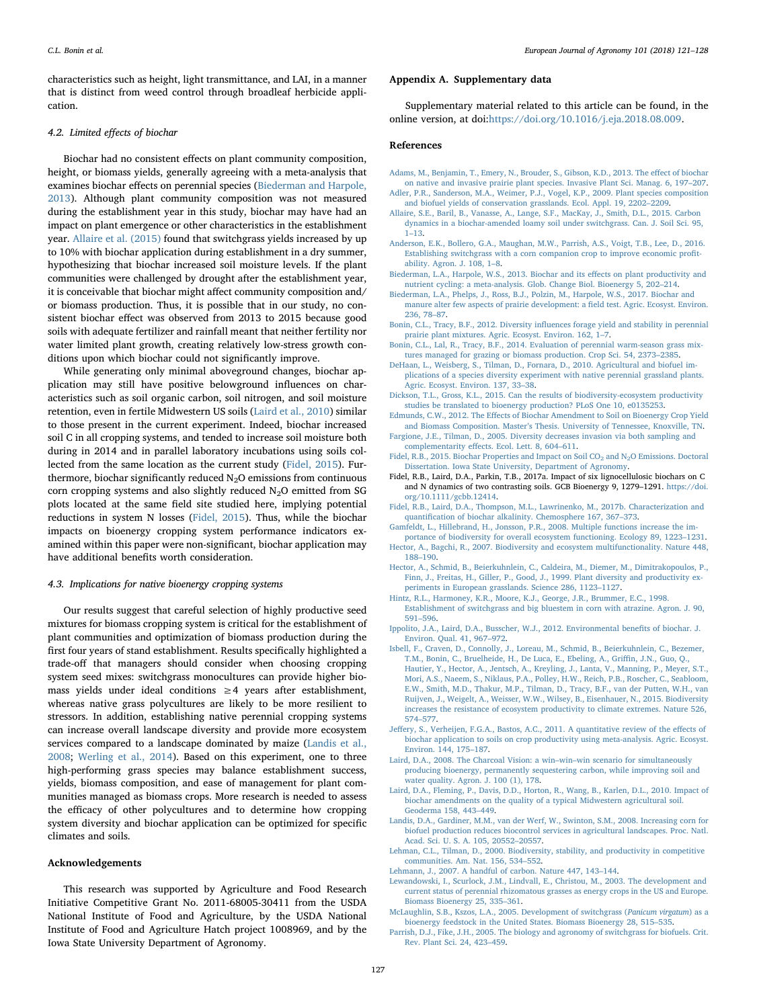characteristics such as height, light transmittance, and LAI, in a manner that is distinct from weed control through broadleaf herbicide application.

## 4.2. Limited effects of biochar

Biochar had no consistent effects on plant community composition, height, or biomass yields, generally agreeing with a meta-analysis that examines biochar effects on perennial species ([Biederman and Harpole,](#page-6-14) [2013\)](#page-6-14). Although plant community composition was not measured during the establishment year in this study, biochar may have had an impact on plant emergence or other characteristics in the establishment year. [Allaire et al. \(2015\)](#page-6-26) found that switchgrass yields increased by up to 10% with biochar application during establishment in a dry summer, hypothesizing that biochar increased soil moisture levels. If the plant communities were challenged by drought after the establishment year, it is conceivable that biochar might affect community composition and/ or biomass production. Thus, it is possible that in our study, no consistent biochar effect was observed from 2013 to 2015 because good soils with adequate fertilizer and rainfall meant that neither fertility nor water limited plant growth, creating relatively low-stress growth conditions upon which biochar could not significantly improve.

While generating only minimal aboveground changes, biochar application may still have positive belowground influences on characteristics such as soil organic carbon, soil nitrogen, and soil moisture retention, even in fertile Midwestern US soils ([Laird et al., 2010](#page-6-27)) similar to those present in the current experiment. Indeed, biochar increased soil C in all cropping systems, and tended to increase soil moisture both during in 2014 and in parallel laboratory incubations using soils collected from the same location as the current study [\(Fidel, 2015](#page-6-28)). Furthermore, biochar significantly reduced  $N_2O$  emissions from continuous corn cropping systems and also slightly reduced N<sub>2</sub>O emitted from SG plots located at the same field site studied here, implying potential reductions in system N losses ([Fidel, 2015\)](#page-6-28). Thus, while the biochar impacts on bioenergy cropping system performance indicators examined within this paper were non-significant, biochar application may have additional benefits worth consideration.

## 4.3. Implications for native bioenergy cropping systems

Our results suggest that careful selection of highly productive seed mixtures for biomass cropping system is critical for the establishment of plant communities and optimization of biomass production during the first four years of stand establishment. Results specifically highlighted a trade-off that managers should consider when choosing cropping system seed mixes: switchgrass monocultures can provide higher biomass yields under ideal conditions  $\geq 4$  years after establishment, whereas native grass polycultures are likely to be more resilient to stressors. In addition, establishing native perennial cropping systems can increase overall landscape diversity and provide more ecosystem services compared to a landscape dominated by maize ([Landis et al.,](#page-6-29) [2008;](#page-6-29) [Werling et al., 2014\)](#page-7-1). Based on this experiment, one to three high-performing grass species may balance establishment success, yields, biomass composition, and ease of management for plant communities managed as biomass crops. More research is needed to assess the efficacy of other polycultures and to determine how cropping system diversity and biochar application can be optimized for specific climates and soils.

## Acknowledgements

This research was supported by Agriculture and Food Research Initiative Competitive Grant No. 2011-68005-30411 from the USDA National Institute of Food and Agriculture, by the USDA National Institute of Food and Agriculture Hatch project 1008969, and by the Iowa State University Department of Agronomy.

## Appendix A. Supplementary data

Supplementary material related to this article can be found, in the online version, at doi:<https://doi.org/10.1016/j.eja.2018.08.009>.

#### References

- <span id="page-6-16"></span>[Adams, M., Benjamin, T., Emery, N., Brouder, S., Gibson, K.D., 2013. The e](http://refhub.elsevier.com/S1161-0301(18)30472-6/sbref0005)ffect of biochar [on native and invasive prairie plant species. Invasive Plant Sci. Manag. 6, 197](http://refhub.elsevier.com/S1161-0301(18)30472-6/sbref0005)–207.
- <span id="page-6-6"></span>[Adler, P.R., Sanderson, M.A., Weimer, P.J., Vogel, K.P., 2009. Plant species composition](http://refhub.elsevier.com/S1161-0301(18)30472-6/sbref0010) [and biofuel yields of conservation grasslands. Ecol. Appl. 19, 2202](http://refhub.elsevier.com/S1161-0301(18)30472-6/sbref0010)–2209.
- <span id="page-6-26"></span>[Allaire, S.E., Baril, B., Vanasse, A., Lange, S.F., MacKay, J., Smith, D.L., 2015. Carbon](http://refhub.elsevier.com/S1161-0301(18)30472-6/sbref0015) [dynamics in a biochar-amended loamy soil under switchgrass. Can. J. Soil Sci. 95,](http://refhub.elsevier.com/S1161-0301(18)30472-6/sbref0015) 1–[13.](http://refhub.elsevier.com/S1161-0301(18)30472-6/sbref0015)
- <span id="page-6-24"></span>[Anderson, E.K., Bollero, G.A., Maughan, M.W., Parrish, A.S., Voigt, T.B., Lee, D., 2016.](http://refhub.elsevier.com/S1161-0301(18)30472-6/sbref0020) [Establishing switchgrass with a corn companion crop to improve economic pro](http://refhub.elsevier.com/S1161-0301(18)30472-6/sbref0020)fit[ability. Agron. J. 108, 1](http://refhub.elsevier.com/S1161-0301(18)30472-6/sbref0020)–8.
- <span id="page-6-14"></span>[Biederman, L.A., Harpole, W.S., 2013. Biochar and its e](http://refhub.elsevier.com/S1161-0301(18)30472-6/sbref0025)ffects on plant productivity and [nutrient cycling: a meta-analysis. Glob. Change Biol. Bioenergy 5, 202](http://refhub.elsevier.com/S1161-0301(18)30472-6/sbref0025)–214.
- <span id="page-6-17"></span>[Biederman, L.A., Phelps, J., Ross, B.J., Polzin, M., Harpole, W.S., 2017. Biochar and](http://refhub.elsevier.com/S1161-0301(18)30472-6/sbref0030) [manure alter few aspects of prairie development: a](http://refhub.elsevier.com/S1161-0301(18)30472-6/sbref0030) field test. Agric. Ecosyst. Environ. [236, 78](http://refhub.elsevier.com/S1161-0301(18)30472-6/sbref0030)–87.
- <span id="page-6-9"></span>Bonin, C.L., Tracy, B.F., 2012. Diversity infl[uences forage yield and stability in perennial](http://refhub.elsevier.com/S1161-0301(18)30472-6/sbref0035) [prairie plant mixtures. Agric. Ecosyst. Environ. 162, 1](http://refhub.elsevier.com/S1161-0301(18)30472-6/sbref0035)–7.
- <span id="page-6-5"></span>[Bonin, C.L., Lal, R., Tracy, B.F., 2014. Evaluation of perennial warm-season grass mix](http://refhub.elsevier.com/S1161-0301(18)30472-6/sbref0040)[tures managed for grazing or biomass production. Crop Sci. 54, 2373](http://refhub.elsevier.com/S1161-0301(18)30472-6/sbref0040)–2385.
- <span id="page-6-8"></span>[DeHaan, L., Weisberg, S., Tilman, D., Fornara, D., 2010. Agricultural and biofuel im](http://refhub.elsevier.com/S1161-0301(18)30472-6/sbref0045)[plications of a species diversity experiment with native perennial grassland plants.](http://refhub.elsevier.com/S1161-0301(18)30472-6/sbref0045) [Agric. Ecosyst. Environ. 137, 33](http://refhub.elsevier.com/S1161-0301(18)30472-6/sbref0045)–38.
- <span id="page-6-7"></span>[Dickson, T.L., Gross, K.L., 2015. Can the results of biodiversity-ecosystem productivity](http://refhub.elsevier.com/S1161-0301(18)30472-6/sbref0050) [studies be translated to bioenergy production? PLoS One 10, e0135253](http://refhub.elsevier.com/S1161-0301(18)30472-6/sbref0050).
- <span id="page-6-15"></span>Edmunds, C.W., 2012. The Eff[ects of Biochar Amendment to Soil on Bioenergy Crop Yield](http://refhub.elsevier.com/S1161-0301(18)30472-6/sbref0055) and Biomass Composition. Master'[s Thesis. University of Tennessee, Knoxville, TN](http://refhub.elsevier.com/S1161-0301(18)30472-6/sbref0055).
- <span id="page-6-4"></span>[Fargione, J.E., Tilman, D., 2005. Diversity decreases invasion via both sampling and](http://refhub.elsevier.com/S1161-0301(18)30472-6/sbref0060) complementarity eff[ects. Ecol. Lett. 8, 604](http://refhub.elsevier.com/S1161-0301(18)30472-6/sbref0060)–611.
- <span id="page-6-28"></span>Fidel, R.B., 2015. Biochar Properties and Impact on Soil CO<sub>2</sub> and N<sub>2</sub>O Emissions. Doctoral [Dissertation. Iowa State University, Department of Agronomy.](http://refhub.elsevier.com/S1161-0301(18)30472-6/sbref0065)
- <span id="page-6-19"></span>Fidel, R.B., Laird, D.A., Parkin, T.B., 2017a. Impact of six lignocellulosic biochars on C and N dynamics of two contrasting soils. GCB Bioenergy 9, 1279–1291. [https://doi.](https://doi.org/10.1111/gcbb.12414) [org/10.1111/gcbb.12414.](https://doi.org/10.1111/gcbb.12414)
- <span id="page-6-20"></span>[Fidel, R.B., Laird, D.A., Thompson, M.L., Lawrinenko, M., 2017b. Characterization and](http://refhub.elsevier.com/S1161-0301(18)30472-6/sbref0075) quantifi[cation of biochar alkalinity. Chemosphere 167, 367](http://refhub.elsevier.com/S1161-0301(18)30472-6/sbref0075)–373.
- <span id="page-6-23"></span>[Gamfeldt, L., Hillebrand, H., Jonsson, P.R., 2008. Multiple functions increase the im](http://refhub.elsevier.com/S1161-0301(18)30472-6/sbref0080)[portance of biodiversity for overall ecosystem functioning. Ecology 89, 1223](http://refhub.elsevier.com/S1161-0301(18)30472-6/sbref0080)–1231.
- <span id="page-6-22"></span>[Hector, A., Bagchi, R., 2007. Biodiversity and ecosystem multifunctionality. Nature 448,](http://refhub.elsevier.com/S1161-0301(18)30472-6/sbref0085) 188–[190](http://refhub.elsevier.com/S1161-0301(18)30472-6/sbref0085).
- <span id="page-6-21"></span>[Hector, A., Schmid, B., Beierkuhnlein, C., Caldeira, M., Diemer, M., Dimitrakopoulos, P.,](http://refhub.elsevier.com/S1161-0301(18)30472-6/sbref0090) [Finn, J., Freitas, H., Giller, P., Good, J., 1999. Plant diversity and productivity ex](http://refhub.elsevier.com/S1161-0301(18)30472-6/sbref0090)[periments in European grasslands. Science 286, 1123](http://refhub.elsevier.com/S1161-0301(18)30472-6/sbref0090)–1127.
- <span id="page-6-18"></span>[Hintz, R.L., Harmoney, K.R., Moore, K.J., George, J.R., Brummer, E.C., 1998.](http://refhub.elsevier.com/S1161-0301(18)30472-6/sbref0095) [Establishment of switchgrass and big bluestem in corn with atrazine. Agron. J. 90,](http://refhub.elsevier.com/S1161-0301(18)30472-6/sbref0095) 591–[596](http://refhub.elsevier.com/S1161-0301(18)30472-6/sbref0095).
- <span id="page-6-12"></span>[Ippolito, J.A., Laird, D.A., Busscher, W.J., 2012. Environmental bene](http://refhub.elsevier.com/S1161-0301(18)30472-6/sbref0100)fits of biochar. J. [Environ. Qual. 41, 967](http://refhub.elsevier.com/S1161-0301(18)30472-6/sbref0100)–972.
- <span id="page-6-2"></span>[Isbell, F., Craven, D., Connolly, J., Loreau, M., Schmid, B., Beierkuhnlein, C., Bezemer,](http://refhub.elsevier.com/S1161-0301(18)30472-6/sbref0105) [T.M., Bonin, C., Bruelheide, H., De Luca, E., Ebeling, A., Gri](http://refhub.elsevier.com/S1161-0301(18)30472-6/sbref0105)ffin, J.N., Guo, Q.,
- [Hautier, Y., Hector, A., Jentsch, A., Kreyling, J., Lanta, V., Manning, P., Meyer, S.T.,](http://refhub.elsevier.com/S1161-0301(18)30472-6/sbref0105) [Mori, A.S., Naeem, S., Niklaus, P.A., Polley, H.W., Reich, P.B., Roscher, C., Seabloom,](http://refhub.elsevier.com/S1161-0301(18)30472-6/sbref0105) [E.W., Smith, M.D., Thakur, M.P., Tilman, D., Tracy, B.F., van der Putten, W.H., van](http://refhub.elsevier.com/S1161-0301(18)30472-6/sbref0105) [Ruijven, J., Weigelt, A., Weisser, W.W., Wilsey, B., Eisenhauer, N., 2015. Biodiversity](http://refhub.elsevier.com/S1161-0301(18)30472-6/sbref0105) [increases the resistance of ecosystem productivity to climate extremes. Nature 526,](http://refhub.elsevier.com/S1161-0301(18)30472-6/sbref0105) 574–[577](http://refhub.elsevier.com/S1161-0301(18)30472-6/sbref0105).
- <span id="page-6-13"></span>Jeff[ery, S., Verheijen, F.G.A., Bastos, A.C., 2011. A quantitative review of the e](http://refhub.elsevier.com/S1161-0301(18)30472-6/sbref0110)ffects of [biochar application to soils on crop productivity using meta-analysis. Agric. Ecosyst.](http://refhub.elsevier.com/S1161-0301(18)30472-6/sbref0110) [Environ. 144, 175](http://refhub.elsevier.com/S1161-0301(18)30472-6/sbref0110)–187.
- <span id="page-6-11"></span>[Laird, D.A., 2008. The Charcoal Vision: a win](http://refhub.elsevier.com/S1161-0301(18)30472-6/sbref0115)–win–win scenario for simultaneously [producing bioenergy, permanently sequestering carbon, while improving soil and](http://refhub.elsevier.com/S1161-0301(18)30472-6/sbref0115) [water quality. Agron. J. 100 \(1\), 178](http://refhub.elsevier.com/S1161-0301(18)30472-6/sbref0115).
- <span id="page-6-27"></span>[Laird, D.A., Fleming, P., Davis, D.D., Horton, R., Wang, B., Karlen, D.L., 2010. Impact of](http://refhub.elsevier.com/S1161-0301(18)30472-6/sbref0120) [biochar amendments on the quality of a typical Midwestern agricultural soil.](http://refhub.elsevier.com/S1161-0301(18)30472-6/sbref0120) [Geoderma 158, 443](http://refhub.elsevier.com/S1161-0301(18)30472-6/sbref0120)–449.
- <span id="page-6-29"></span>[Landis, D.A., Gardiner, M.M., van der Werf, W., Swinton, S.M., 2008. Increasing corn for](http://refhub.elsevier.com/S1161-0301(18)30472-6/sbref0125) [biofuel production reduces biocontrol services in agricultural landscapes. Proc. Natl.](http://refhub.elsevier.com/S1161-0301(18)30472-6/sbref0125) [Acad. Sci. U. S. A. 105, 20552](http://refhub.elsevier.com/S1161-0301(18)30472-6/sbref0125)–20557.
- <span id="page-6-25"></span>[Lehman, C.L., Tilman, D., 2000. Biodiversity, stability, and productivity in competitive](http://refhub.elsevier.com/S1161-0301(18)30472-6/sbref0130) [communities. Am. Nat. 156, 534](http://refhub.elsevier.com/S1161-0301(18)30472-6/sbref0130)–552.
- <span id="page-6-10"></span>[Lehmann, J., 2007. A handful of carbon. Nature 447, 143](http://refhub.elsevier.com/S1161-0301(18)30472-6/sbref0135)–144.
- <span id="page-6-0"></span>[Lewandowski, I., Scurlock, J.M., Lindvall, E., Christou, M., 2003. The development and](http://refhub.elsevier.com/S1161-0301(18)30472-6/sbref0140) [current status of perennial rhizomatous grasses as energy crops in the US and Europe.](http://refhub.elsevier.com/S1161-0301(18)30472-6/sbref0140) [Biomass Bioenergy 25, 335](http://refhub.elsevier.com/S1161-0301(18)30472-6/sbref0140)–361.
- <span id="page-6-3"></span>McLaughlin, [S.B., Kszos, L.A., 2005. Development of switchgrass \(](http://refhub.elsevier.com/S1161-0301(18)30472-6/sbref0145)Panicum virgatum) as a [bioenergy feedstock in the United States. Biomass Bioenergy 28, 515](http://refhub.elsevier.com/S1161-0301(18)30472-6/sbref0145)–535.
- <span id="page-6-1"></span>[Parrish, D.J., Fike, J.H., 2005. The biology and agronomy of switchgrass for biofuels. Crit.](http://refhub.elsevier.com/S1161-0301(18)30472-6/sbref0150) [Rev. Plant Sci. 24, 423](http://refhub.elsevier.com/S1161-0301(18)30472-6/sbref0150)–459.